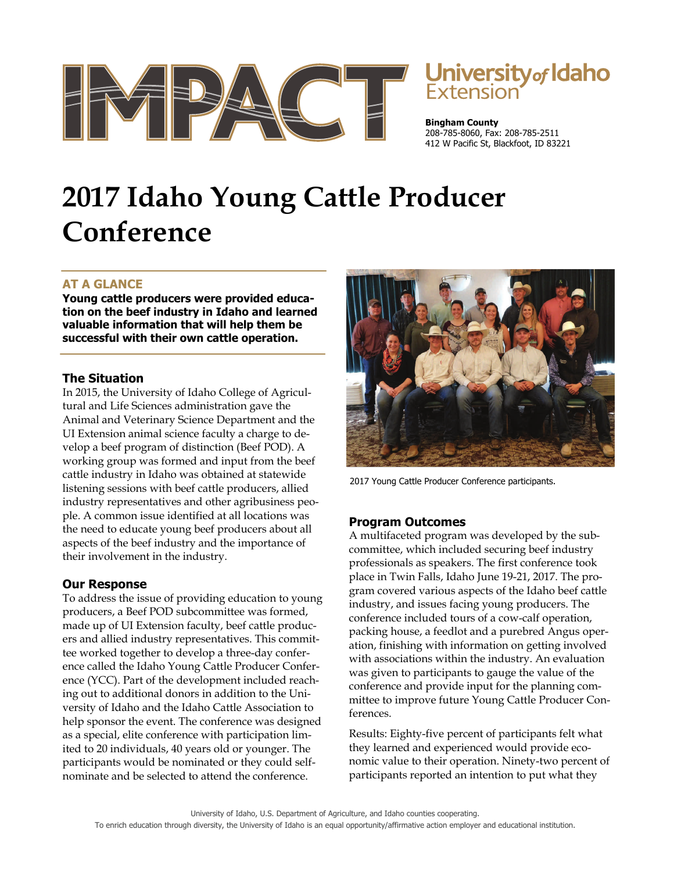



**Bingham County**  208-785-8060, Fax: 208-785-2511 412 W Pacific St, Blackfoot, ID 83221

# **2017 Idaho Young Cattle Producer Conference**

## **AT A GLANCE**

**Young cattle producers were provided education on the beef industry in Idaho and learned valuable information that will help them be successful with their own cattle operation.** 

### **The Situation**

In 2015, the University of Idaho College of Agricultural and Life Sciences administration gave the Animal and Veterinary Science Department and the UI Extension animal science faculty a charge to develop a beef program of distinction (Beef POD). A working group was formed and input from the beef cattle industry in Idaho was obtained at statewide listening sessions with beef cattle producers, allied industry representatives and other agribusiness people. A common issue identified at all locations was the need to educate young beef producers about all aspects of the beef industry and the importance of their involvement in the industry.

### **Our Response**

To address the issue of providing education to young producers, a Beef POD subcommittee was formed, made up of UI Extension faculty, beef cattle producers and allied industry representatives. This committee worked together to develop a three-day conference called the Idaho Young Cattle Producer Conference (YCC). Part of the development included reaching out to additional donors in addition to the University of Idaho and the Idaho Cattle Association to help sponsor the event. The conference was designed as a special, elite conference with participation limited to 20 individuals, 40 years old or younger. The participants would be nominated or they could selfnominate and be selected to attend the conference.



2017 Young Cattle Producer Conference participants.

### **Program Outcomes**

A multifaceted program was developed by the subcommittee, which included securing beef industry professionals as speakers. The first conference took place in Twin Falls, Idaho June 19-21, 2017. The program covered various aspects of the Idaho beef cattle industry, and issues facing young producers. The conference included tours of a cow-calf operation, packing house, a feedlot and a purebred Angus operation, finishing with information on getting involved with associations within the industry. An evaluation was given to participants to gauge the value of the conference and provide input for the planning committee to improve future Young Cattle Producer Conferences.

Results: Eighty-five percent of participants felt what they learned and experienced would provide economic value to their operation. Ninety-two percent of participants reported an intention to put what they